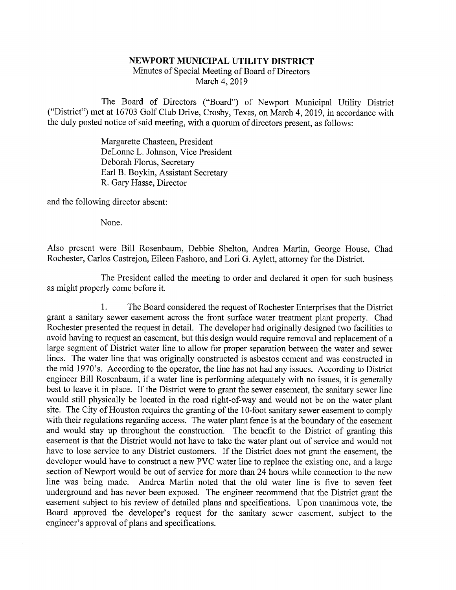## NEWPORT MUNICIPAL UTILITY DISTRICT

Minutes of Special Meeting of Board of Directors March 4, 2019

The Board of Directors ("Board") of Newport Municipal Utility District ("District") met at 16703 Golf Club Drive, Crosby, Texas, on March 4, 2019, in accordance with the duly posted notice of said meeting, with a quorum of directors present, as follows:

> Margarette Chasteen, President DeLonne L. Johnson, Vice President Deborah Floms, Secretary Earl B. Boykin, Assistant Secretary R. Gary Hasse, Director

and the following director absent:

None.

Also present were Bill Rosenbaum, Debbie Shelton, Andrea Martin, George House, Chad Rochester, Carlos Castrejon, Eileen Fashoro, and Lori G. Aylett, attorney for the District.

The President called the meeting to order and declared it open for such business as might properly come before it.

1. The Board considered the request of Rochester Enterprises that the District grant a sanitary sewer easement across the front surface water treatment plant property. Chad Rochester presented the request in detail. The developer had originally designed two facilities to avoid having to request an easement, but this design would require removal and replacement of a large segment of District water line to allow for proper separation between the water and sewer lines. The water line that was originally constructed is asbestos cement and was constructed in the mid 1970's. According to the operator, the line has not had any issues. According to District engineer Bill Rosenbaum, if a water line is performing adequately with no issues, it is generally best to leave it in place. If the District were to grant the sewer easement, the sanitary sewer line would still physically be located in the road right-of-way and would not be on the water plant site. The City of Houston requires the granting of the 10-foot sanitary sewer easement to comply with their regulations regarding access. The water plant fence is at the boundary of the easement and would stay up throughout the construction. The benefit to the District of granting this easement is that the District would not have to take the water plant out of service and would not have to lose service to any District customers. If the District does not grant the easement, the developer would have to construct a new PVC water line to replace the existing one, and a large section of Newport would be out of service for more than 24 hours while connection to the new line was being made. Andrea Martin noted that the old water line is five to seven feet underground and has never been exposed. The engineer recommend that the District grant the easement subject to his review of detailed plans and specifications. Upon unanimous vote, the Board approved the developer's request for the sanitary sewer easement, subject to the engineer's approval of plans and specifications.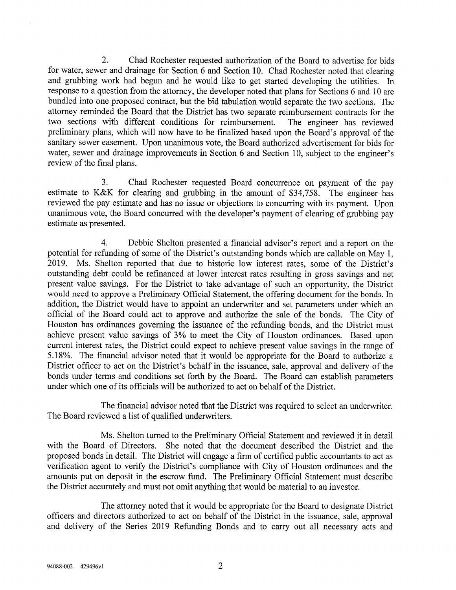2. Chad Rochester requested authorization of the Board to advertise for bids for water, sewer and drainage for Section 6 and Section 10. Chad Rochester noted that clearing and grubbing work had begun and he would like to get started developing the utilities. In response to a question from the attorney, the developer noted that plans for Sections 6 and 10 are bundled into one proposed contract, but the bid tabulation would separate the two sections. The attorney reminded the Board that the District has two separate reimbursement contracts for the two sections with different conditions for reimbursement. The engineer has reviewed preliminary plans, which will now have to be finalized based upon the Board's approval of the sanitary sewer easement. Upon unanimous vote, the Board authorized advertisement for bids for water, sewer and drainage improvements in Section 6 and Section 10, subject to the engineer's review of the final plans.

3. Chad Rochester requested Board concurrence on payment of the pay estimate to K&K for clearing and grubbing in the amount of \$34,758. The engineer has reviewed the pay estimate and has no issue or objections to concurring with its payment. Upon unanimous vote, the Board concurred with the developer's payment of clearing of grubbing pay estimate as presented.

4. Debbie Shelton presented a financial advisor's report and a report on the potential for refunding of some of the District's outstanding bonds which are callable on May 1, 2019. Ms. Shelton reported that due to historic low interest rates, some of the District's outstanding debt could be refinanced at lower interest rates resulting in gross savings and net present value savings. For the District to take advantage of such an opportunity, the District would need to approve a Preliminary Official Statement, the offering document for the bonds. In addition, the District would have to appoint an underwriter and set parameters under which an official of the Board could act to approve and authorize the sale of the bonds. The City of Houston has ordinances governing the issuance of the refunding bonds, and the District must achieve present value savings of 3% to meet the City of Houston ordinances. Based upon current interest rates, the District could expect to achieve present value savings in the range of 5.18%. The financial advisor noted that it would be appropriate for the Board to authorize a District officer to act on the District's behalf in the issuance, sale, approval and delivery of the bonds under terms and conditions set forth by the Board. The Board can establish parameters under which one of its officials will be authorized to act on behalf of the District.

The financial advisor noted that the District was required to select an underwriter. The Board reviewed a list of qualified underwriters.

Ms. Shelton turned to the Preliminary Official Statement and reviewed it in detail with the Board of Directors. She noted that the document described the District and the proposed bonds in detail. The District will engage a finn of certified public accountants to act as verification agent to verify the District's compliance with City of Houston ordinances and the amounts put on deposit in the escrow fund. The Preliminary Official Statement must describe the District accurately and must not omit anything that would be material to an investor.

The attorney noted that it would be appropriate for the Board to designate District officers and directors authorized to act on behalf of the District in the issuance, sale, approval and delivery of the Series 2019 Refimding Bonds and to carry out all necessary acts and